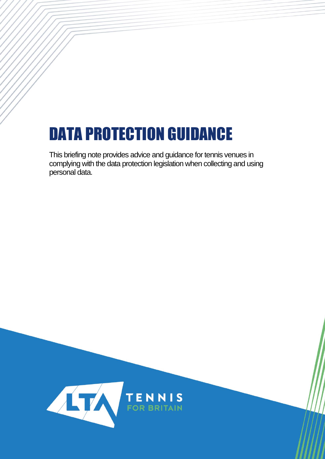# DATA PROTECTION GUIDANCE

This briefing note provides advice and guidance for tennis venues in complying with the data protection legislation when collecting and using personal data.

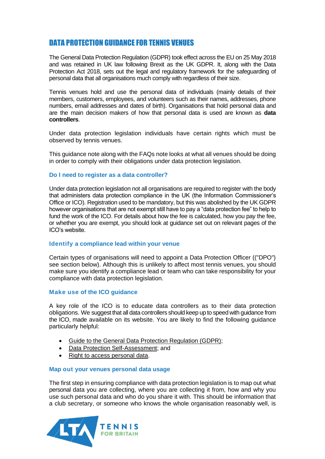# DATA PROTECTION GUIDANCE FOR TENNIS VENUES

The General Data Protection Regulation (GDPR) took effect across the EU on 25 May 2018 and was retained in UK law following Brexit as the UK GDPR. It, along with the Data Protection Act 2018, sets out the legal and regulatory framework for the safeguarding of personal data that all organisations much comply with regardless of their size.

Tennis venues hold and use the personal data of individuals (mainly details of their members, customers, employees, and volunteers such as their names, addresses, phone numbers, email addresses and dates of birth). Organisations that hold personal data and are the main decision makers of how that personal data is used are known as **data controllers**.

Under data protection legislation individuals have certain rights which must be observed by tennis venues.

This guidance note along with the FAQs note looks at what all venues should be doing in order to comply with their obligations under data protection legislation.

#### **Do I need to register as a data controller?**

Under data protection legislation not all organisations are required to register with the body that administers data protection compliance in the UK (the Information Commissioner's Office or ICO). Registration used to be mandatory, but this was abolished by the UK GDPR however organisations that are not exempt still have to pay a "data protection fee" to help to fund the work of the ICO. For details about how the fee is calculated, how you pay the fee, or whether you are exempt, you should look at guidance set out on relevant pages of the ICO's website.

## **Identify a compliance lead within your venue**

Certain types of organisations will need to appoint a Data Protection Officer (("DPO") see section below). Although this is unlikely to affect most tennis venues, you should make sure you identify a compliance lead or team who can take responsibility for your compliance with data protection legislation.

#### **Make use of the ICO guidance**

A key role of the ICO is to educate data controllers as to their data protection obligations. We suggest that all data controllers should keep up to speed with guidance from the ICO, made available on its website. You are likely to find the following guidance particularly helpful:

- [Guide to the General Data Protection Regulation \(GDPR\);](https://ico.org.uk/for-organisations/guide-to-data-protection/guide-to-the-general-data-protection-regulation-gdpr/)
- [Data Protection Self-Assessment;](https://ico.org.uk/for-organisations/sme-web-hub/checklists/data-protection-self-assessment/) and
- [Right to access personal data.](https://ico.org.uk/for-organisations/guide-to-data-protection/guide-to-the-general-data-protection-regulation-gdpr/individual-rights/right-of-access/)

#### **Map out your venues personal data usage**

The first step in ensuring compliance with data protection legislation is to map out what personal data you are collecting, where you are collecting it from, how and why you use such personal data and who do you share it with. This should be information that a club secretary, or someone who knows the whole organisation reasonably well, is

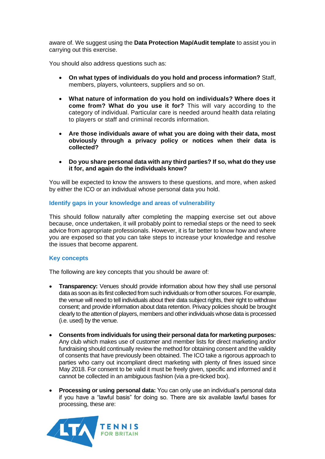aware of. We suggest using the **Data Protection Map/Audit template** to assist you in carrying out this exercise.

You should also address questions such as:

- **On what types of individuals do you hold and process information?** Staff, members, players, volunteers, suppliers and so on.
- **What nature of information do you hold on individuals? Where does it come from? What do you use it for?** This will vary according to the category of individual. Particular care is needed around health data relating to players or staff and criminal records information.
- **Are those individuals aware of what you are doing with their data, most obviously through a privacy policy or notices when their data is collected?**
- **Do you share personal data with any third parties? If so, what do they use it for, and again do the individuals know?**

You will be expected to know the answers to these questions, and more, when asked by either the ICO or an individual whose personal data you hold.

#### **Identify gaps in your knowledge and areas of vulnerability**

This should follow naturally after completing the mapping exercise set out above because, once undertaken, it will probably point to remedial steps or the need to seek advice from appropriate professionals. However, it is far better to know how and where you are exposed so that you can take steps to increase your knowledge and resolve the issues that become apparent.

## **Key concepts**

The following are key concepts that you should be aware of:

- **Transparency:** Venues should provide information about how they shall use personal data as soon as its first collected from such individuals or from other sources. For example, the venue will need to tell individuals about their data subject rights, their right to withdraw consent; and provide information about data retention. Privacy policies should be brought clearly to the attention of players, members and other individuals whose data is processed (i.e. used) by the venue.
- **Consents from individuals for using their personal data for marketing purposes:** Any club which makes use of customer and member lists for direct marketing and/or fundraising should continually review the method for obtaining consent and the validity of consents that have previously been obtained. The ICO take a rigorous approach to parties who carry out incompliant direct marketing with plenty of fines issued since May 2018. For consent to be valid it must be freely given, specific and informed and it cannot be collected in an ambiguous fashion (via a pre-ticked box).
- **Processing or using personal data:** You can only use an individual's personal data if you have a "lawful basis" for doing so. There are six available lawful bases for processing, these are:

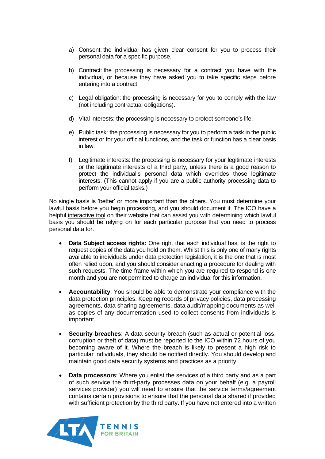- a) Consent: the individual has given clear consent for you to process their personal data for a specific purpose.
- b) Contract: the processing is necessary for a contract you have with the individual, or because they have asked you to take specific steps before entering into a contract.
- c) Legal obligation: the processing is necessary for you to comply with the law (not including contractual obligations).
- d) Vital interests: the processing is necessary to protect someone's life.
- e) Public task: the processing is necessary for you to perform a task in the public interest or for your official functions, and the task or function has a clear basis in law.
- f) Legitimate interests: the processing is necessary for your legitimate interests or the legitimate interests of a third party, unless there is a good reason to protect the individual's personal data which overrides those legitimate interests. (This cannot apply if you are a public authority processing data to perform your official tasks.)

No single basis is 'better' or more important than the others. You must determine your lawful basis before you begin processing, and you should document it. The ICO have a helpful [interactive tool](https://ico.org.uk/for-organisations/gdpr-resources/lawful-basis-interactive-guidance-tool/) on their website that can assist you with determining which lawful basis you should be relying on for each particular purpose that you need to process personal data for.

- **Data Subject access rights:** One right that each individual has, is the right to request copies of the data you hold on them. Whilst this is only one of many rights available to individuals under data protection legislation, it is the one that is most often relied upon, and you should consider enacting a procedure for dealing with such requests. The time frame within which you are required to respond is one month and you are not permitted to charge an individual for this information.
- **Accountability**: You should be able to demonstrate your compliance with the data protection principles. Keeping records of privacy policies, data processing agreements, data sharing agreements, data audit/mapping documents as well as copies of any documentation used to collect consents from individuals is important.
- **Security breaches:** A data security breach (such as actual or potential loss, corruption or theft of data) must be reported to the ICO within 72 hours of you becoming aware of it. Where the breach is likely to present a high risk to particular individuals, they should be notified directly. You should develop and maintain good data security systems and practices as a priority.
- **Data processors**: Where you enlist the services of a third party and as a part of such service the third-party processes data on your behalf (e.g. a payroll services provider) you will need to ensure that the service terms/agreement contains certain provisions to ensure that the personal data shared if provided with sufficient protection by the third party. If you have not entered into a written